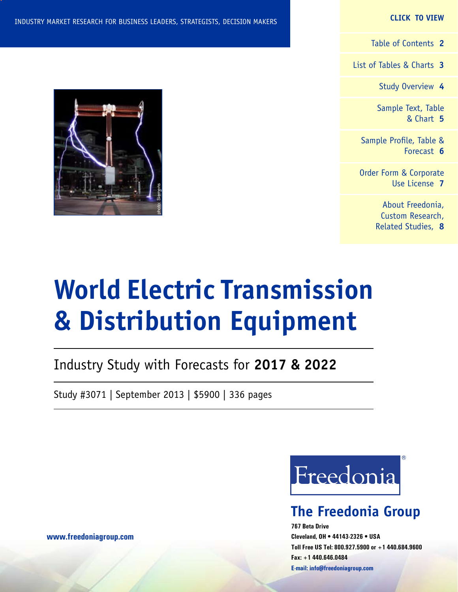#### **CLICK TO VIEW**

[Table of Contents](#page-1-0) **2**

[List of Tables & Charts](#page-2-0) **3**

[Study Overview](#page-4-0) **4**

[Sample Text, Table](#page-5-0) [& Chart](#page-5-0) **5**

[Sample Profile, Table &](#page-6-0) [Forecast](#page-6-0) **6**

[Order Form & Corporate](#page-7-0) [Use License](#page-7-0) **7**

> [About Freedonia,](#page-8-0) [Custom Research,](#page-8-0) [Related Studies,](#page-8-0) **8**

# **World Electric Transmission & Distribution Equipment**

Industry Study with Forecasts for **2017 & 2022**

Study #3071 | September 2013 | \$5900 | 336 pages



# **The Freedonia Group**

**767 Beta Drive Cleveland, OH • 44143-2326 • USA Toll Free US Tel: 800.927.5900 or +1 440.684.9600 Fax: +1 440.646.0484 E-mail: [info@freedoniagroup.com](mailto:info@freedoniagroup.com)**



**[www.freedoniagroup.com](http://www.freedoniagroup.com/Home.aspx?ReferrerId=FM-Bro)**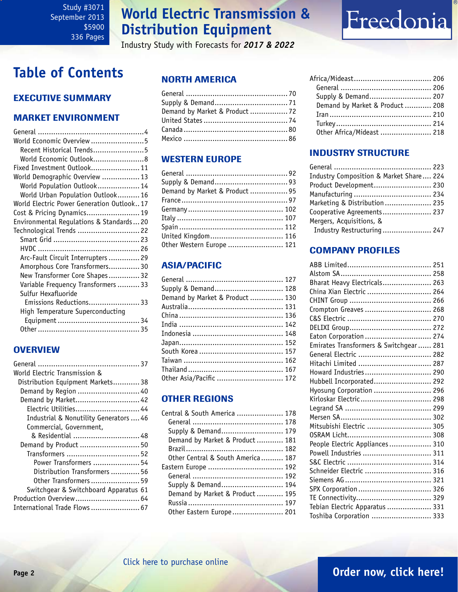# **World Electric Transmission & Distribution Equipment**

Industry Study with Forecasts for *2017 & 2022*

# Freedonia

# <span id="page-1-0"></span>**Table of Contents**

# Executive Summary

## Market EnvironmenT

| World Economic Overview5                  |
|-------------------------------------------|
| Recent Historical Trends5                 |
| World Economic Outlook8                   |
| Fixed Investment Outlook 11               |
| World Demographic Overview  13            |
| World Population Outlook 14               |
| World Urban Population Outlook 16         |
| World Electric Power Generation Outlook17 |
| Cost & Pricing Dynamics 19                |
| Environmental Regulations & Standards20   |
| Technological Trends  22                  |
|                                           |
|                                           |
| Arc-Fault Circuit Interrupters  29        |
| Amorphous Core Transformers 30            |
| New Transformer Core Shapes32             |
| Variable Frequency Transformers  33       |
| Sulfur Hexafluoride                       |
| Emissions Reductions 33                   |
| High Temperature Superconducting          |
|                                           |
|                                           |

## **OVERVIEW**

| World Electric Transmission &          |
|----------------------------------------|
| Distribution Equipment Markets38       |
| Demand by Region  40                   |
| Demand by Market 42                    |
| Electric Utilities 44                  |
| Industrial & Nonutility Generators  46 |
| Commercial, Government,                |
| & Residential  48                      |
| Demand by Product  50                  |
| Transformers  52                       |
| Power Transformers  54                 |
| Distribution Transformers  56          |
| Other Transformers  59                 |
| Switchgear & Switchboard Apparatus 61  |
| Production Overview  64                |
| International Trade Flows  67          |

## NORTH AMERICA

| Demand by Market & Product  72 |  |
|--------------------------------|--|
|                                |  |
|                                |  |
|                                |  |

## WESTERN EUROPE

| Demand by Market & Product  95 |  |
|--------------------------------|--|
|                                |  |
|                                |  |
|                                |  |
|                                |  |
| United Kingdom 116             |  |
| Other Western Europe  121      |  |

## ASIA/PACIFIC

| Supply & Demand 128             |
|---------------------------------|
| Demand by Market & Product  130 |
|                                 |
|                                 |
|                                 |
|                                 |
|                                 |
|                                 |
|                                 |
|                                 |
| Other Asia/Pacific  172         |
|                                 |

## OTHER REGIONS

| Central & South America  178      |  |
|-----------------------------------|--|
|                                   |  |
| Supply & Demand 179               |  |
| Demand by Market & Product 181    |  |
|                                   |  |
| Other Central & South America 187 |  |
| Eastern Europe  192               |  |
|                                   |  |
| Supply & Demand 194               |  |
| Demand by Market & Product  195   |  |
|                                   |  |
| Other Eastern Europe 201          |  |
|                                   |  |

| Supply & Demand 207             |  |
|---------------------------------|--|
| Demand by Market & Product  208 |  |
|                                 |  |
|                                 |  |
| Other Africa/Mideast  218       |  |

## INDUSTRY STRUCTURE

| Industry Composition & Market Share 224 |  |
|-----------------------------------------|--|
| Product Development 230                 |  |
|                                         |  |
| Marketing & Distribution  235           |  |
| Cooperative Agreements 237              |  |
| Mergers, Acquisitions, &                |  |
| Industry Restructuring  247             |  |

## Company Profiles

| Bharat Heavy Electricals 263            |  |
|-----------------------------------------|--|
| China Xian Electric  264                |  |
|                                         |  |
| Crompton Greaves  268                   |  |
|                                         |  |
|                                         |  |
| Eaton Corporation  274                  |  |
| Emirates Transformers & Switchgear  281 |  |
| General Electric  282                   |  |
| Hitachi Limited  287                    |  |
| Howard Industries 290                   |  |
| Hubbell Incorporated 292                |  |
| Hyosung Corporation  296                |  |
| Kirloskar Electric 298                  |  |
|                                         |  |
|                                         |  |
| Mitsubishi Electric  305                |  |
|                                         |  |
| People Electric Appliances 310          |  |
| Powell Industries  311                  |  |
|                                         |  |
| Schneider Electric  316                 |  |
|                                         |  |
| SPX Corporation  326                    |  |
|                                         |  |
| Tebian Electric Apparatus  331          |  |
| Toshiba Corporation  333                |  |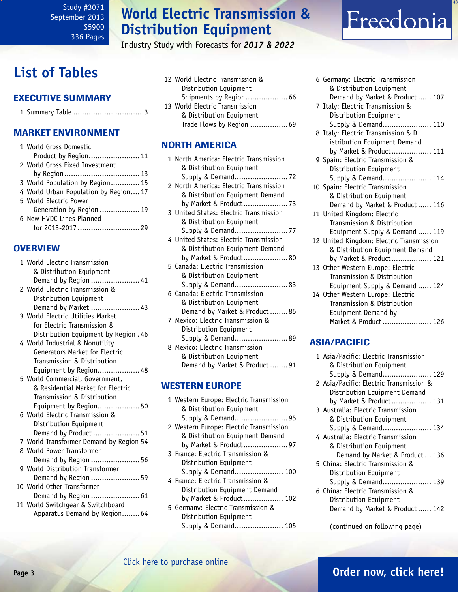# **World Electric Transmission & Distribution Equipment**

Industry Study with Forecasts for *2017 & 2022*

# <span id="page-2-0"></span>**List of Tables**

## Executive Summary

|--|--|--|--|

### Market EnvironmenT

|  | 1 World Gross Domestic               |
|--|--------------------------------------|
|  | Product by Region 11                 |
|  | 2 World Gross Fixed Investment       |
|  |                                      |
|  | 3 World Population by Region 15      |
|  | 4 World Urban Population by Region17 |
|  | 5 World Electric Power               |
|  | Generation by Region  19             |
|  | 6 New HVDC Lines Planned             |
|  | for 2013-2017  29                    |
|  |                                      |

### **OVERVIEW**

| 1 World Electric Transmission           |
|-----------------------------------------|
| & Distribution Equipment                |
| Demand by Region  41                    |
| 2 World Electric Transmission &         |
| Distribution Equipment                  |
| Demand by Market  43                    |
| 3 World Electric Utilities Market       |
| for Electric Transmission &             |
| Distribution Equipment by Region . 46   |
| 4 World Industrial & Nonutility         |
| Generators Market for Electric          |
| Transmission & Distribution             |
| Equipment by Region 48                  |
| 5 World Commercial, Government,         |
| & Residential Market for Electric       |
| Transmission & Distribution             |
| Equipment by Region 50                  |
| 6 World Electric Transmission &         |
| Distribution Equipment                  |
| Demand by Product  51                   |
| 7 World Transformer Demand by Region 54 |
| 8 World Power Transformer               |
| Demand by Region  56                    |
| 9 World Distribution Transformer        |
| Demand by Region  59                    |
| 10 World Other Transformer              |
| Demand by Region  61                    |
| 11 World Switchgear & Switchboard       |
| Apparatus Demand by Region 64           |

12 World Electric Transmission & Distribution Equipment Shipments by Region................... 66 13 World Electric Transmission & Distribution Equipment Trade Flows by Region ................. 69

## NORTH AMERICA

| 1 North America: Flectric Transmission |
|----------------------------------------|
| & Distribution Equipment               |
|                                        |
| 2 North America: Electric Transmission |
| & Distribution Equipment Demand        |
|                                        |
|                                        |
| 3 United States: Electric Transmission |
| & Distribution Equipment               |
|                                        |
| 4 United States: Electric Transmission |
| & Distribution Equipment Demand        |
| by Market & Product 80                 |
|                                        |
| 5 Canada: Electric Transmission        |
| & Distribution Equipment               |
| Supply & Demand 83                     |
| 6 Canada: Electric Transmission        |
| & Distribution Equipment               |
| Demand by Market & Product85           |
| 7 Mexico: Electric Transmission &      |
|                                        |
| Distribution Equipment                 |
| Supply & Demand 89                     |
| 8 Mexico: Electric Transmission        |
| & Distribution Equipment               |
| Demand by Market & Product 91          |

#### WESTERN EUROPE

| 1 Western Europe: Electric Transmission |
|-----------------------------------------|
| & Distribution Equipment                |
| Supply & Demand 95                      |
| 2 Western Europe: Electric Transmission |
| & Distribution Equipment Demand         |
| by Market & Product 97                  |
| 3 France: Electric Transmission &       |
| Distribution Equipment                  |
| Supply & Demand 100                     |
| 4 France: Electric Transmission &       |
| Distribution Equipment Demand           |
| by Market & Product 102                 |
| 5 Germany: Electric Transmission &      |

 Distribution Equipment Supply & Demand...................... 105

| 6 Germany: Electric Transmission         |
|------------------------------------------|
| & Distribution Equipment                 |
| Demand by Market & Product  107          |
| 7 Italy: Electric Transmission &         |
| Distribution Equipment                   |
| Supply & Demand 110                      |
| 8 Italy: Electric Transmission & D       |
| istribution Equipment Demand             |
| by Market & Product 111                  |
| 9 Spain: Electric Transmission &         |
| Distribution Equipment                   |
| Supply & Demand 114                      |
| 10 Spain: Electric Transmission          |
| & Distribution Equipment                 |
| Demand by Market & Product  116          |
| 11 United Kingdom: Electric              |
| Transmission & Distribution              |
| Equipment Supply & Demand  119           |
|                                          |
| 12 United Kingdom: Electric Transmission |
| & Distribution Equipment Demand          |
| by Market & Product 121                  |
| 13 Other Western Europe: Electric        |
| Transmission & Distribution              |
| Equipment Supply & Demand  124           |
| 14 Other Western Europe: Electric        |
| $\cdots$ $\cdots$ $\cdots$               |

Freedonia

| Transmission & Distribution |  |
|-----------------------------|--|
| Equipment Demand by         |  |
| Market & Product  126       |  |
|                             |  |

## ASIA/PACIFIC

| 1 Asia/Pacific: Electric Transmission<br>& Distribution Equipment<br>Supply & Demand 129 |  |
|------------------------------------------------------------------------------------------|--|
| 2 Asia/Pacific: Electric Transmission &                                                  |  |
| Distribution Equipment Demand                                                            |  |
| by Market & Product 131                                                                  |  |
| 3 Australia: Flectric Transmission                                                       |  |
| & Distribution Equipment                                                                 |  |
| Supply & Demand 134                                                                      |  |
| 4 Australia: Flectric Transmission                                                       |  |
| & Distribution Equipment                                                                 |  |
| Demand by Market & Product 136                                                           |  |
| 5 China: Flectric Transmission &                                                         |  |
| Distribution Equipment                                                                   |  |
| Supply & Demand 139                                                                      |  |
| 6 China: Electric Transmission &                                                         |  |
| Distribution Equipment                                                                   |  |
| Demand by Market & Product  142                                                          |  |
|                                                                                          |  |

(continued on following page)

### [Click here to purchase online](http://www.freedoniagroup.com/DocumentDetails.aspx?Referrerid=FM-Bro&StudyID=3071)

# **Page 3 [Order now, click here!](#page-7-0)**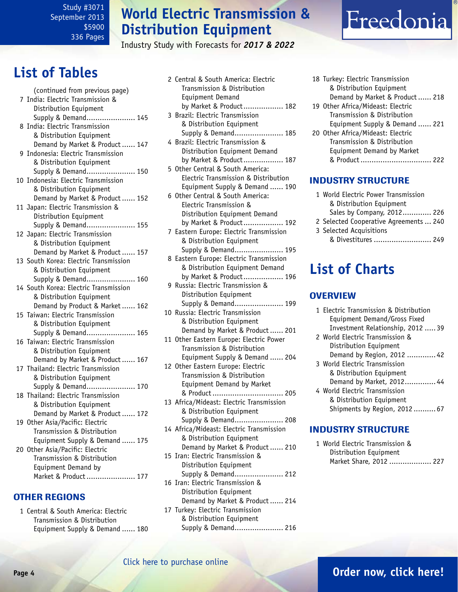# **World Electric Transmission & Distribution Equipment**

2 Central & South America: Electric

Industry Study with Forecasts for *2017 & 2022*

# Freedonia

# **List of Tables**

| (continued from previous page)<br>7 India: Electric Transmission & |
|--------------------------------------------------------------------|
| Distribution Equipment                                             |
| Supply & Demand 145                                                |
| 8 India: Electric Transmission                                     |
| & Distribution Equipment                                           |
| Demand by Market & Product  147                                    |
| 9 Indonesia: Electric Transmission                                 |
| & Distribution Equipment                                           |
| Supply & Demand 150                                                |
| 10 Indonesia: Electric Transmission                                |
| & Distribution Equipment                                           |
| Demand by Market & Product  152                                    |
| 11 Japan: Electric Transmission &                                  |
| Distribution Equipment                                             |
| Supply & Demand 155                                                |
| 12 Japan: Electric Transmission                                    |
| & Distribution Equipment                                           |
| Demand by Market & Product  157                                    |
| 13 South Korea: Electric Transmission                              |
| & Distribution Equipment                                           |
| Supply & Demand 160                                                |
| 14 South Korea: Electric Transmission                              |
| & Distribution Equipment                                           |
| Demand by Product & Market  162                                    |
| 15 Taiwan: Electric Transmission                                   |
| & Distribution Equipment                                           |
| Supply & Demand 165                                                |
| 16 Taiwan: Electric Transmission                                   |
| & Distribution Equipment                                           |
| Demand by Market & Product  167                                    |
| 17 Thailand: Electric Transmission                                 |
| & Distribution Equipment                                           |
| Supply & Demand 170                                                |
| 18 Thailand: Electric Transmission                                 |
| & Distribution Equipment                                           |
| Demand by Market & Product  172                                    |
| 19  Other Asia/Pacific: Electric                                   |
| Transmission & Distribution                                        |
| Equipment Supply & Demand  175                                     |
| 20 Other Asia/Pacific: Electric                                    |
| Transmission & Distribution                                        |
| Equipment Demand by                                                |
| Market & Product  177                                              |
|                                                                    |
|                                                                    |

## OTHER REGIONS

1 Central & South America: Electric Transmission & Distribution Equipment Supply & Demand ...... 180

- Transmission & Distribution Equipment Demand by Market & Product.................. 182 3 Brazil: Electric Transmission & Distribution Equipment Supply & Demand...................... 185 4 Brazil: Electric Transmission & Distribution Equipment Demand by Market & Product.................. 187 5 Other Central & South America:
- Electric Transmission & Distribution Equipment Supply & Demand ...... 190 6 Other Central & South America:
- Electric Transmission & Distribution Equipment Demand by Market & Product.................. 192
- 7 Eastern Europe: Electric Transmission & Distribution Equipment Supply & Demand...................... 195
- 8 Eastern Europe: Electric Transmission & Distribution Equipment Demand by Market & Product.................. 196
- 9 Russia: Electric Transmission & Distribution Equipment Supply & Demand...................... 199
- 10 Russia: Electric Transmission & Distribution Equipment Demand by Market & Product...... 201
- 11 Other Eastern Europe: Electric Power Transmission & Distribution Equipment Supply & Demand ...... 204
- 12 Other Eastern Europe: Electric Transmission & Distribution Equipment Demand by Market & Product................................ 205
- 13 Africa/Mideast: Electric Transmission & Distribution Equipment Supply & Demand...................... 208
- 14 Africa/Mideast: Electric Transmission & Distribution Equipment Demand by Market & Product...... 210
- 15 Iran: Electric Transmission & Distribution Equipment
- Supply & Demand...................... 212 16 Iran: Electric Transmission & Distribution Equipment
- Demand by Market & Product...... 214 17 Turkey: Electric Transmission
- & Distribution Equipment Supply & Demand...................... 216

18 Turkey: Electric Transmission & Distribution Equipment Demand by Market & Product...... 218 19 Other Africa/Mideast: Electric Transmission & Distribution Equipment Supply & Demand ...... 221 20 Other Africa/Mideast: Electric Transmission & Distribution Equipment Demand by Market & Product................................ 222

## INDUSTRY STRUCTURE

| 1 World Electric Power Transmission    |  |
|----------------------------------------|--|
| & Distribution Equipment               |  |
| Sales by Company, 2012 226             |  |
| 2 Selected Cooperative Agreements  240 |  |
| 3 Selected Acquisitions                |  |
| & Divestitures  249                    |  |

# **List of Charts**

## **OVERVIEW**

| 1 Electric Transmission & Distribution |
|----------------------------------------|
| Equipment Demand/Gross Fixed           |
| Investment Relationship, 2012  39      |
| 2 World Electric Transmission &        |
| Distribution Equipment                 |
| Demand by Region, 2012  42             |
| 3 World Electric Transmission          |
| & Distribution Equipment               |
| Demand by Market, 2012 44              |
| 4 World Electric Transmission          |
| & Distribution Equipment               |
| Shipments by Region, 2012 67           |
|                                        |

## INDUSTRY STRUCTURE

1 World Electric Transmission & Distribution Equipment Market Share, 2012 .................... 227

# **Page 4 [Order now, click here!](#page-7-0)**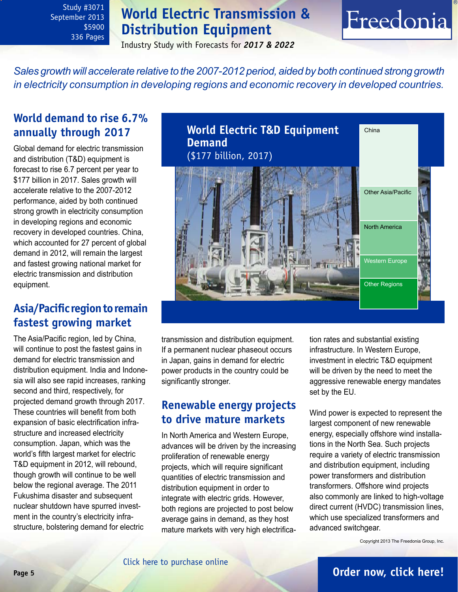# **World Electric Transmission & Distribution Equipment**

# Freedonia

Industry Study with Forecasts for *2017 & 2022*

<span id="page-4-0"></span>*Sales growth will accelerate relative to the 2007-2012 period, aided by both continued strong growth in electricity consumption in developing regions and economic recovery in developed countries.*

# **World demand to rise 6.7% annually through 2017**

Global demand for electric transmission and distribution (T&D) equipment is forecast to rise 6.7 percent per year to \$177 billion in 2017. Sales growth will accelerate relative to the 2007-2012 performance, aided by both continued strong growth in electricity consumption in developing regions and economic recovery in developed countries. China, which accounted for 27 percent of global demand in 2012, will remain the largest and fastest growing national market for electric transmission and distribution equipment.

# **Asia/Pacific region to remain fastest growing market**

The Asia/Pacific region, led by China, will continue to post the fastest gains in demand for electric transmission and distribution equipment. India and Indonesia will also see rapid increases, ranking second and third, respectively, for projected demand growth through 2017. These countries will benefit from both expansion of basic electrification infrastructure and increased electricity consumption. Japan, which was the world's fifth largest market for electric T&D equipment in 2012, will rebound, though growth will continue to be well below the regional average. The 2011 Fukushima disaster and subsequent nuclear shutdown have spurred investment in the country's electricity infrastructure, bolstering demand for electric



transmission and distribution equipment. If a permanent nuclear phaseout occurs in Japan, gains in demand for electric power products in the country could be significantly stronger.

# **Renewable energy projects to drive mature markets**

In North America and Western Europe, advances will be driven by the increasing proliferation of renewable energy projects, which will require significant quantities of electric transmission and distribution equipment in order to integrate with electric grids. However, both regions are projected to post below average gains in demand, as they host mature markets with very high electrification rates and substantial existing infrastructure. In Western Europe, investment in electric T&D equipment will be driven by the need to meet the aggressive renewable energy mandates set by the EU.

Wind power is expected to represent the largest component of new renewable energy, especially offshore wind installations in the North Sea. Such projects require a variety of electric transmission and distribution equipment, including power transformers and distribution transformers. Offshore wind projects also commonly are linked to high-voltage direct current (HVDC) transmission lines, which use specialized transformers and advanced switchgear.

Copyright 2013 The Freedonia Group, Inc.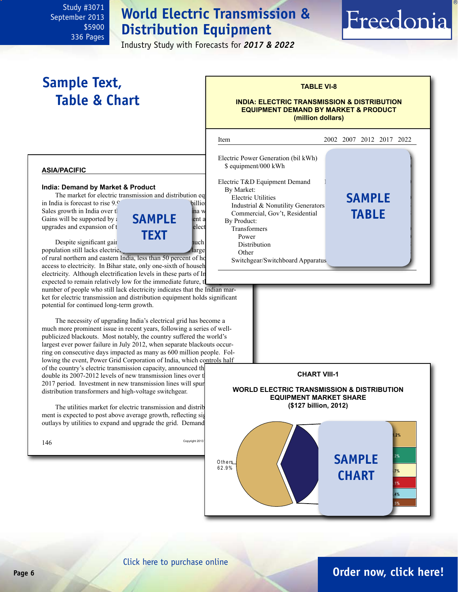# **World Electric Transmission & Distribution Equipment**

i

Industry Study with Forecasts for *2017 & 2022*

# <span id="page-5-0"></span>**Sample Text, Table & Chart**

### **TABLE VI-8**

Freedonia

#### **INDIA: ELECTRIC TRANSMISSION & DISTRIBUTION EQUIPMENT DEMAND BY MARKET & PRODUCT (million dollars)**

#### **asia/pacific**

#### **India: Demand by Market & Product**

The market for electric transmission and distribution eq in India is forecast to rise  $9.9$ Sales growth in India over the period will trail trail trail trail only China worldwide. Gains will be supported by  $\mathbf{SAMPLE}$  ent and  $\mathbf{SAMPLE}$ 



population still lacks electricity in the  $\blacksquare$ 

of rural northern and eastern India, less than 50 percent of ho access to electricity. In Bihar state, only one-sixth of househ electricity. Although electrification levels in these parts of India expected to remain relatively low for the immediate future, the huge state of the huge state huge state huge and  $h$ 

number of people who still lack electricity indicates that the Indian market for electric transmission and distribution equipment holds significant potential for continued long-term growth.

The necessity of upgrading India's electrical grid has become a much more prominent issue in recent years, following a series of wellpublicized blackouts. Most notably, the country suffered the world's largest ever power failure in July 2012, when separate blackouts occurring on consecutive days impacted as many as 600 million people. Following the event, Power Grid Corporation of India, which controls half of the country's electric transmission capacity, announced the double its  $2007-2012$  levels of new transmission lines over the 2012-2012 levels of new transmission lines over the 2012-2012 levels of new transmission lines over the 2012-2012 levels. 2017 period. Investment in new transmission lines will spur

The utilities market for electric transmission and distribution ment is expected to post above average growth, reflecting sig outlays by utilities to expand and upgrade the grid. Demand

distribution transformers and high-voltage switchgear.

Item 2002 2007 2012 2017 2022 Electric Power Generation (bil kWh)  $$ equivalent/000$  kWh Electric T&D Equipment Demand By Market: Electric Utilities<br> **SAMPLE** Industrial & Nonutility Generators Commercial, Gov't, Residential By Product: Transformers Power **Demand Act 235 and 235 and 235 and 235 and 235 and 235 and 2335 and 2335** Distribution  $\Omega$  Other  $\Omega$ Switchgear/Switchboard Apparatus **table**

# **CHART VIII-1**

**WORLD ELECTRIC TRANSMISSION & DISTRIBUTION EQUIPMENT MARKET SHARE (\$127 billion, 2012)**



# **Page 6 [Order now, click here!](#page-7-0)**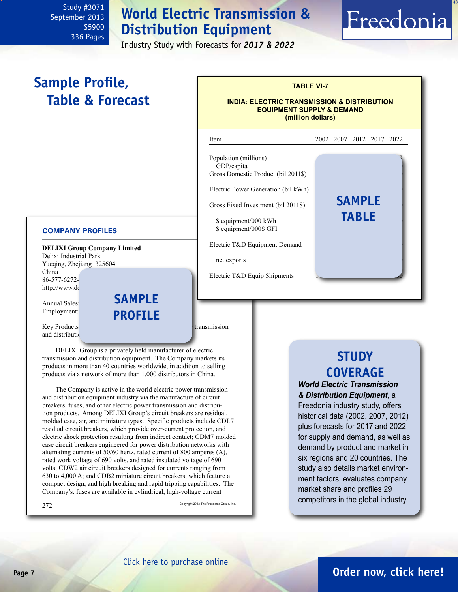<span id="page-6-0"></span>**Sample Profile,** 

 **Table & Forecast**

# **World Electric Transmission & Distribution Equipment**

Industry Study with Forecasts for *2017 & 2022*

j

Gross Domestic Product (bil 2011\$)

Electric Power Generation (bil kWh)

Gross Fixed Investment (bil 2011\$)

Electric T&D Equipment Demand

Electric T&D Equip Shipments

 $$ equivalent/000$  kWh  $$ equivalent/000$ GFI$ 

# Freedonia **TABLE VI-7 INDIA: ELECTRIC TRANSMISSION & DISTRIBUTION EQUIPMENT SUPPLY & DEMAND (million dollars)** Item 2002 2007 2012 2017 2022 Population (millions) GDP/capita

#### **COMPANY PROFILES**

**DELIXI Group Company Limited** Delixi Industrial Park Yueqing, Zhejiang 325604 China 86-577-6272http://www.de

Annual Sales:

Employment: **PROFILE sample**

Key Products: circuit breakers, fuses, and other electric transmission and distribution

DELIXI Group is a privately held manufacturer of electric transmission and distribution equipment. The Company markets its products in more than 40 countries worldwide, in addition to selling products via a network of more than 1,000 distributors in China.

The Company is active in the world electric power transmission and distribution equipment industry via the manufacture of circuit breakers, fuses, and other electric power transmission and distribution products. Among DELIXI Group's circuit breakers are residual, molded case, air, and miniature types. Specific products include CDL7 residual circuit breakers, which provide over-current protection, and electric shock protection resulting from indirect contact; CDM7 molded case circuit breakers engineered for power distribution networks with alternating currents of 50/60 hertz, rated current of 800 amperes (A), rated work voltage of 690 volts, and rated insulated voltage of 690 volts; CDW2 air circuit breakers designed for currents ranging from 630 to 4,000 A; and CDB2 miniature circuit breakers, which feature a compact design, and high breaking and rapid tripping capabilities. The Company's. fuses are available in cylindrical, high-voltage current

 $272$  Copyright 2013 The Freedonia Group, Inc.

net exports

# **STUDY COVERAGE**

**sample**

**table**

*World Electric Transmission & Distribution Equipment*, a Freedonia industry study, offers historical data (2002, 2007, 2012) plus forecasts for 2017 and 2022 for supply and demand, as well as demand by product and market in six regions and 20 countries. The study also details market environment factors, evaluates company market share and profiles 29 competitors in the global industry.

[Click here to purchase online](http://www.freedoniagroup.com/DocumentDetails.aspx?Referrerid=FM-Bro&StudyID=3071)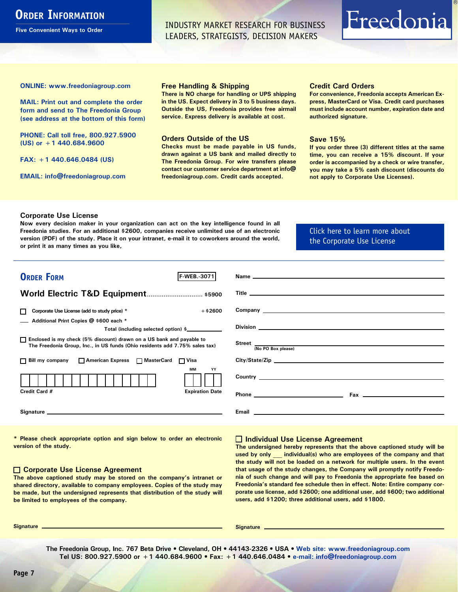# <span id="page-7-0"></span>**ORDER INFORMATION**

**Five Convenient Ways to Order**

INDUSTRY MARKET RESEARCH FOR BUSINESS LEADERS, STRATEGISTS, DECISION MAKERS

# Freedonia

**ONLINE: [www.freedoniagroup.com](http://www.freedoniagroup.com/DocumentDetails.aspx?Referrerid=FM-Bro&StudyID=3071)**

**MAIL: Print out and complete the order form and send to The Freedonia Group (see address at the bottom of this form)**

**PHONE: Call toll free, 800.927.5900 (US) or +1 440.684.9600**

**FAX: +1 440.646.0484 (US)**

**EMAIL: [info@freedoniagroup.com](mailto:info@freedoniagroup.com)**

#### **Free Handling & Shipping**

**There is NO charge for handling or UPS shipping in the US. Expect delivery in 3 to 5 business days. Outside the US, Freedonia provides free airmail service. Express delivery is available at cost.**

#### **Orders Outside of the US**

**Checks must be made payable in US funds, drawn against a US bank and mailed directly to The Freedonia Group. For wire transfers please contact our customer service department at info@ freedoniagroup.com. Credit cards accepted.**

#### **Credit Card Orders**

**For convenience, Freedonia accepts American Express, MasterCard or Visa. Credit card purchases must include account number, expiration date and authorized signature.**

#### **Save 15%**

**If you order three (3) different titles at the same time, you can receive a 15% discount. If your order is accompanied by a check or wire transfer, you may take a 5% cash discount (discounts do not apply to Corporate Use Licenses).**

#### **Corporate Use License**

**Now every decision maker in your organization can act on the key intelligence found in all Freedonia studies. For an additional \$2600, companies receive unlimited use of an electronic version (PDF) of the study. Place it on your intranet, e-mail it to coworkers around the world, or print it as many times as you like,** 

#### [Click here to learn more about](http://www.freedoniagroup.com/pdf/FreedoniaCULBro.pdf)  [the Corporate Use License](http://www.freedoniagroup.com/pdf/FreedoniaCULBro.pdf)

| <b>ORDER FORM</b><br><b>F-WEB. 3071</b>                                                                                                                                                                                        |                           |
|--------------------------------------------------------------------------------------------------------------------------------------------------------------------------------------------------------------------------------|---------------------------|
|                                                                                                                                                                                                                                |                           |
| World Electric T&D Equipment \$5900                                                                                                                                                                                            |                           |
|                                                                                                                                                                                                                                |                           |
| $+$ \$2600<br>Corporate Use License (add to study price) *                                                                                                                                                                     |                           |
| Additional Print Copies @ \$600 each *                                                                                                                                                                                         |                           |
| Total (including selected option) \$                                                                                                                                                                                           |                           |
|                                                                                                                                                                                                                                |                           |
| □ Enclosed is my check (5% discount) drawn on a US bank and payable to<br>The Freedonia Group, Inc., in US funds (Ohio residents add 7.75% sales tax)                                                                          | Street  No PO Box please) |
|                                                                                                                                                                                                                                |                           |
| □ Bill my company □ American Express □ MasterCard □ Visa                                                                                                                                                                       |                           |
| <b>MM</b><br>YY                                                                                                                                                                                                                |                           |
|                                                                                                                                                                                                                                |                           |
|                                                                                                                                                                                                                                |                           |
| Credit Card #<br><b>Expiration Date</b>                                                                                                                                                                                        |                           |
|                                                                                                                                                                                                                                |                           |
| Signature experience and the state of the state of the state of the state of the state of the state of the state of the state of the state of the state of the state of the state of the state of the state of the state of th |                           |
|                                                                                                                                                                                                                                |                           |
|                                                                                                                                                                                                                                |                           |

**\* Please check appropriate option and sign below to order an electronic version of the study.**

#### **Corporate Use License Agreement**

**The above captioned study may be stored on the company's intranet or shared directory, available to company employees. Copies of the study may be made, but the undersigned represents that distribution of the study will be limited to employees of the company.**

#### **Individual Use License Agreement**

**The undersigned hereby represents that the above captioned study will be used by only \_\_\_ individual(s) who are employees of the company and that the study will not be loaded on a network for multiple users. In the event that usage of the study changes, the Company will promptly notify Freedonia of such change and will pay to Freedonia the appropriate fee based on Freedonia's standard fee schedule then in effect. Note: Entire company corporate use license, add \$2600; one additional user, add \$600; two additional users, add \$1200; three additional users, add \$1800.**

**Signature Signature**

**The Freedonia Group, Inc. 767 Beta Drive • Cleveland, OH • 44143-2326 • USA • [Web site: www.freedoniagroup.com](http://www.freedoniagroup.com/Home.aspx?ReferrerId=FM-Bro) Tel US: 800.927.5900 or +1 440.684.9600 • Fax: +1 440.646.0484 • [e-mail: info@freedoniagroup.com](mailto:info@freedoniagroup.com)**